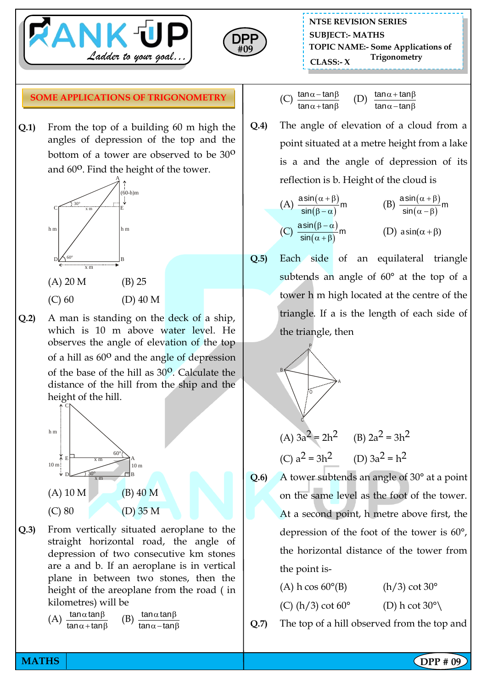



**NTSE REVISION SERIES TOPIC NAME:- Some Applications of Trigonometry CLASS:- <sup>X</sup> SUBJECT:- MATHS**

## **SOME APPLICATIONS OF TRIGONOMETRY**

**Q.1)** From the top of a building 60 m high the angles of depression of the top and the bottom of a tower are observed to be 30<sup>o</sup> and 60<sup>o</sup>. Find the height of the tower.



- (C) 60 (D) 40 M
- **Q.2)** A man is standing on the deck of a ship, which is 10 m above water level. He observes the angle of elevation of the top of a hill as  $60^{\circ}$  and the angle of depression of the base of the hill as 30<sup>o</sup>. Calculate the distance of the hill from the ship and the height of the hill.



**Q.3)** From vertically situated aeroplane to the straight horizontal road, the angle of depression of two consecutive km stones are a and b. If an aeroplane is in vertical plane in between two stones, then the height of the areoplane from the road ( in kilometres) will be

(A) 
$$
\frac{\tan \alpha \tan \beta}{\tan \alpha + \tan \beta}
$$
 (B)  $\frac{\tan \alpha \tan \beta}{\tan \alpha - \tan \beta}$ 

(C) 
$$
\frac{\tan \alpha - \tan \beta}{\tan \alpha + \tan \beta}
$$
 (D)  $\frac{\tan \alpha + \tan \beta}{\tan \alpha - \tan \beta}$ 

**Q.4)** The angle of elevation of a cloud from a point situated at a metre height from a lake is a and the angle of depression of its reflection is b. Height of the cloud is

(A) 
$$
\frac{\operatorname{asin}(\alpha + \beta)}{\sin(\beta - \alpha)}m
$$
  
\n(B)  $\frac{\operatorname{asin}(\alpha + \beta)}{\sin(\alpha - \beta)}m$   
\n(C)  $\frac{\operatorname{asin}(\beta - \alpha)}{\sin(\alpha + \beta)}m$   
\n(D)  $\operatorname{asin}(\alpha + \beta)$ 

**Q.5)** Each side of an equilateral triangle subtends an angle of 60° at the top of a tower h m high located at the centre of the triangle. If a is the length of each side of the triangle, then

$$
P = \sqrt{2}
$$
\n(A)  $3a^2 = 2h^2$  (B)  $2a^2 = 3h^2$   
\n(C)  $a^2 = 3h^2$  (D)  $3a^2 = h^2$ 

- **Q.6)** A tower subtends an angle of 30° at a point on the same level as the foot of the tower. At a second point, h metre above first, the depression of the foot of the tower is 60°, the horizontal distance of the tower from the point is-
	- (A) h cos  $60^{\circ}$ (B) (h/3) cot  $30^{\circ}$ (C) (h/3) cot  $60^{\circ}$  (D) h cot  $30^{\circ}$

**Q.7)** The top of a hill observed from the top and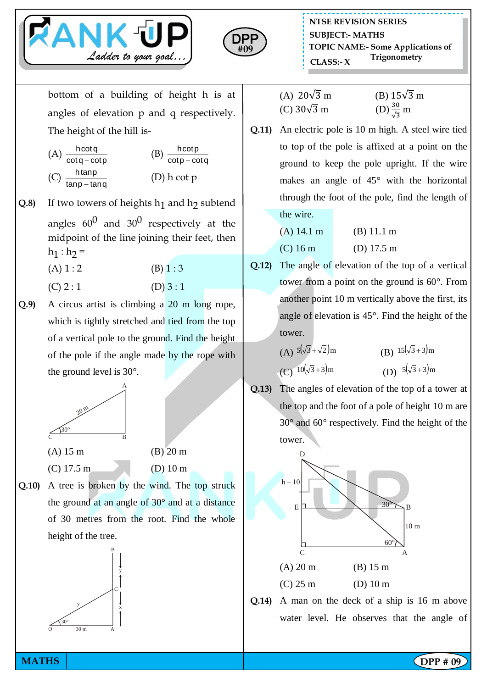



bottom of a building of height h is at angles of elevation p and q respectively. The height of the hill is-

 $p$ 

(A) 
$$
\frac{\text{hcot q}}{\text{cot q} - \text{cot p}}
$$
 (B)  $\frac{\text{hcot p}}{\text{cot p} - \text{cot q}}$   
(C)  $\frac{\text{htan p}}{\text{tan p} - \text{tan q}}$  (D) h cot p

**Q.8**) If two towers of heights  $h_1$  and  $h_2$  subtend angles  $60^0$  and  $30^0$  respectively at the midpoint of the line joining their feet, then  $h_1 : h_2 =$ 

(A)  $1:2$  (B)  $1:3$ 

- $(C) 2 : 1$   $(D) 3 : 1$
- **Q.9)** A circus artist is climbing a 20 m long rope, which is tightly stretched and tied from the top of a vertical pole to the ground. Find the height of the pole if the angle made by the rope with the ground level is 30°.



**Q.10)** A tree is broken by the wind. The top struck the ground at an angle of 30° and at a distance of 30 metres from the root. Find the whole height of the tree.



(A)  $20\sqrt{3}$  m (B)  $15\sqrt{3}$  m (C)  $30\sqrt{3}$  m  $rac{30}{\sqrt{3}}$  m

**Q.11)** An electric pole is 10 m high. A steel wire tied to top of the pole is affixed at a point on the ground to keep the pole upright. If the wire makes an angle of 45° with the horizontal through the foot of the pole, find the length of the wire.

| $(A)$ 14.1 m | (B) 11.1 m           |
|--------------|----------------------|
| $(C)$ 16 m   | (D) $17.5 \text{ m}$ |

**Q.12)** The angle of elevation of the top of a vertical tower from a point on the ground is 60°. From another point 10 m vertically above the first, its angle of elevation is 45°. Find the height of the tower.

(A) 
$$
5(\sqrt{3} + \sqrt{2})m
$$
  
\n(B)  $15(\sqrt{3} + 3)m$   
\n(C)  $10(\sqrt{3} + 3)m$   
\n(D)  $5(\sqrt{3} + 3)m$ 

**Q.13)** The angles of elevation of the top of a tower at the top and the foot of a pole of height 10 m are 30° and 60° respectively. Find the height of the tower.



**Q.14)** A man on the deck of a ship is 16 m above water level. He observes that the angle of

**MATHS** | **DPP #** 09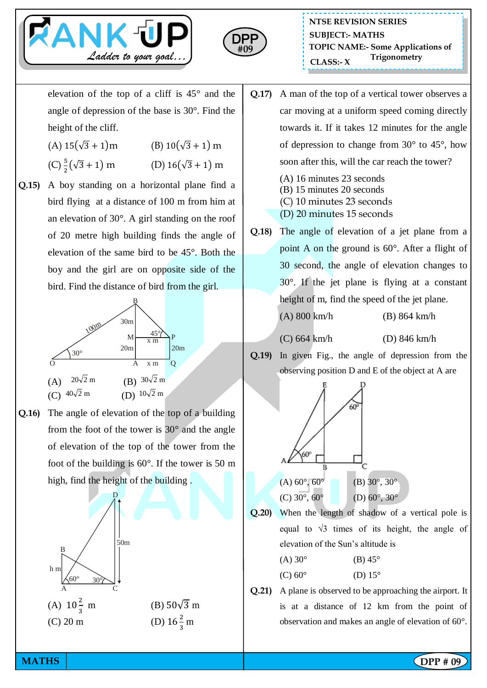



elevation of the top of a cliff is 45° and the angle of depression of the base is 30°. Find the height of the cliff.

- (A)  $15(\sqrt{3} + 1)$ m (B)  $10(\sqrt{3} + 1)$  m
- $(C) \frac{5}{2}$ (D)  $16(\sqrt{3} + 1)$  m
- **Q.15)** A boy standing on a horizontal plane find a bird flying at a distance of 100 m from him at an elevation of 30°. A girl standing on the roof of 20 metre high building finds the angle of elevation of the same bird to be 45°. Both the boy and the girl are on opposite side of the bird. Find the distance of bird from the girl.



**Q.16)** The angle of elevation of the top of a building from the foot of the tower is 30° and the angle of elevation of the top of the tower from the foot of the building is 60°. If the tower is 50 m high, find the height of the building .



- **Q.17)** A man of the top of a vertical tower observes a car moving at a uniform speed coming directly towards it. If it takes 12 minutes for the angle of depression to change from 30° to 45°, how soon after this, will the car reach the tower?
	- (A) 16 minutes 23 seconds
	- (B) 15 minutes 20 seconds
	- (C) 10 minutes 23 seconds
	- (D) 20 minutes 15 seconds
- **Q.18)** The angle of elevation of a jet plane from a point A on the ground is 60°. After a flight of 30 second, the angle of elevation changes to 30°. If the jet plane is flying at a constant height of m, find the speed of the jet plane. (A) 800 km/h (B) 864 km/h
	-

(C) 664 km/h (D) 846 km/h

**Q.19)** In given Fig., the angle of depression from the observing position D and E of the object at A are



**Q.20)** When the length of shadow of a vertical pole is equal to  $\sqrt{3}$  times of its height, the angle of elevation of the Sun's altitude is

| $(A)$ 30 $^{\circ}$ | $(B)$ 45 $\circ$ |
|---------------------|------------------|
| $(C) 60^{\circ}$    | (D) $15^\circ$   |

**Q.21)** A plane is observed to be approaching the airport. It is at a distance of 12 km from the point of observation and makes an angle of elevation of 60°.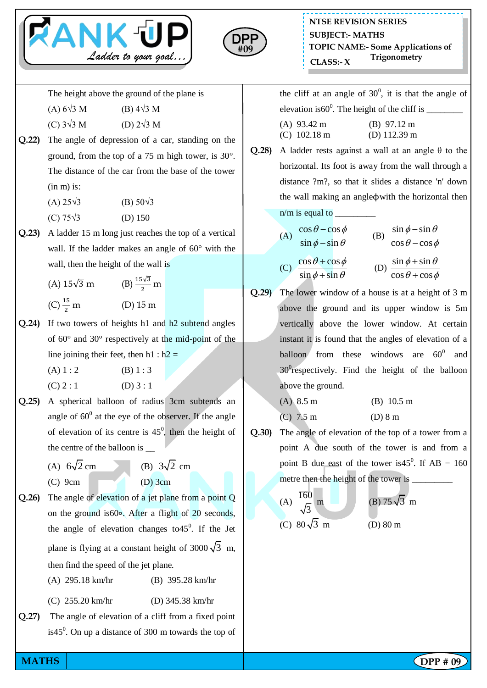



The height above the ground of the plane is

- (A)  $6\sqrt{3}$  M (B)  $4\sqrt{3}$  M
- (C)  $3\sqrt{3}$  M (D)  $2\sqrt{3}$  M
- **Q.22)** The angle of depression of a car, standing on the ground, from the top of a 75 m high tower, is 30°. The distance of the car from the base of the tower (in m) is:
	- (A)  $25\sqrt{3}$  (B)  $50\sqrt{3}$
	- $(C) 75√3$  (D) 150
- **Q.23)** A ladder 15 m long just reaches the top of a vertical wall. If the ladder makes an angle of 60° with the wall, then the height of the wall is

(A) 
$$
15\sqrt{3}
$$
 m  
\n(B)  $\frac{15\sqrt{3}}{2}$  m  
\n(C)  $\frac{15}{2}$  m  
\n(D)  $15$  m

**Q.24)** If two towers of heights h1 and h2 subtend angles of 60° and 30° respectively at the mid-point of the line joining their feet, then  $h1 : h2 =$ 

(A)  $1:2$  (B)  $1:3$ 

- $(C) 2 : 1$  (D) 3 : 1
- **Q.25)** A spherical balloon of radius 3cm subtends an angle of  $60^{\circ}$  at the eye of the observer. If the angle of elevation of its centre is  $45^\circ$ , then the height of the centre of the balloon is \_\_
	- (A)  $6\sqrt{2}$ cm (B)  $3\sqrt{2}$  cm  $(C)$  9cm  $(D)$  3cm
- **Q.26)** The angle of elevation of a jet plane from a point Q on the ground is60∘. After a flight of 20 seconds, the angle of elevation changes to  $45^\circ$ . If the Jet plane is flying at a constant height of 3000 $\sqrt{3}$  m, then find the speed of the jet plane.
	- (A) 295.18 km/hr (B) 395.28 km/hr
	- (C) 255.20 km/hr (D) 345.38 km/hr
- **Q.27)** The angle of elevation of a cliff from a fixed point is 45 $^{\circ}$ . On up a distance of 300 m towards the top of

the cliff at an angle of  $30^0$ , it is that the angle of elevation is60<sup>0</sup> . The height of the cliff is \_\_\_\_\_\_\_\_

| $(A)$ 93.42 m  | $(B)$ 97.12 m          |
|----------------|------------------------|
| $(C)$ 102.18 m | (D) $112.39 \text{ m}$ |

**Q.28)** A ladder rests against a wall at an angle θ to the horizontal. Its foot is away from the wall through a distance ?m?, so that it slides a distance 'n' down the wall making an angleϕwith the horizontal then  $n/m$  is equal to

(A) 
$$
\frac{\cos \theta - \cos \phi}{\sin \phi - \sin \theta}
$$
  
\n(B) 
$$
\frac{\sin \phi - \sin \theta}{\cos \theta - \cos \phi}
$$
  
\n(C) 
$$
\frac{\cos \theta + \cos \phi}{\sin \phi + \sin \theta}
$$
  
\n(D) 
$$
\frac{\sin \phi + \sin \theta}{\cos \theta + \cos \phi}
$$

- **Q.29)** The lower window of a house is at a height of 3 m above the ground and its upper window is 5m vertically above the lower window. At certain instant it is found that the angles of elevation of a balloon from these windows are  $60^{\circ}$  and 30<sup>0</sup>respectively. Find the height of the balloon above the ground.
	- (A) 8.5 m (B) 10.5 m (C) 7.5 m (D) 8 m
- **Q.30)** The angle of elevation of the top of a tower from a point A due south of the tower is and from a point B due east of the tower is 45<sup>0</sup>. If  $AB = 160$ metre then the height of the tower is

(A) 
$$
\frac{160}{\sqrt{3}}
$$
 m  
\n(B) 75 $\sqrt{3}$  m  
\n(C) 80 $\sqrt{3}$  m  
\n(D) 80 m